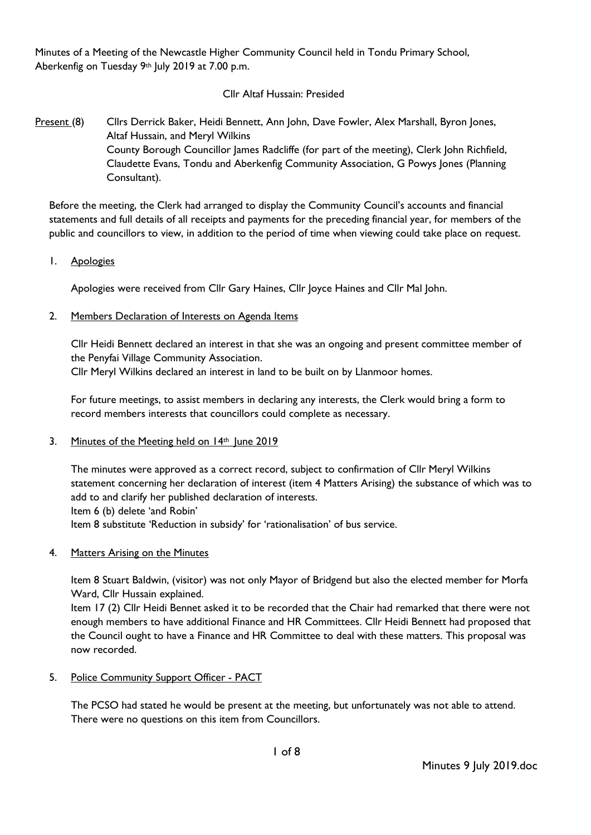Minutes of a Meeting of the Newcastle Higher Community Council held in Tondu Primary School, Aberkenfig on Tuesday 9th July 2019 at 7.00 p.m.

## Cllr Altaf Hussain: Presided

Present (8) Cllrs Derrick Baker, Heidi Bennett, Ann John, Dave Fowler, Alex Marshall, Byron Jones, Altaf Hussain, and Meryl Wilkins County Borough Councillor James Radcliffe (for part of the meeting), Clerk John Richfield, Claudette Evans, Tondu and Aberkenfig Community Association, G Powys Jones (Planning Consultant).

Before the meeting, the Clerk had arranged to display the Community Council's accounts and financial statements and full details of all receipts and payments for the preceding financial year, for members of the public and councillors to view, in addition to the period of time when viewing could take place on request.

1. Apologies

Apologies were received from Cllr Gary Haines, Cllr Joyce Haines and Cllr Mal John.

2. Members Declaration of Interests on Agenda Items

Cllr Heidi Bennett declared an interest in that she was an ongoing and present committee member of the Penyfai Village Community Association.

Cllr Meryl Wilkins declared an interest in land to be built on by Llanmoor homes.

For future meetings, to assist members in declaring any interests, the Clerk would bring a form to record members interests that councillors could complete as necessary.

3. Minutes of the Meeting held on 14th June 2019

The minutes were approved as a correct record, subject to confirmation of Cllr Meryl Wilkins statement concerning her declaration of interest (item 4 Matters Arising) the substance of which was to add to and clarify her published declaration of interests.

Item 6 (b) delete 'and Robin'

Item 8 substitute 'Reduction in subsidy' for 'rationalisation' of bus service.

4. Matters Arising on the Minutes

Item 8 Stuart Baldwin, (visitor) was not only Mayor of Bridgend but also the elected member for Morfa Ward, Cllr Hussain explained.

Item 17 (2) Cllr Heidi Bennet asked it to be recorded that the Chair had remarked that there were not enough members to have additional Finance and HR Committees. Cllr Heidi Bennett had proposed that the Council ought to have a Finance and HR Committee to deal with these matters. This proposal was now recorded.

5. Police Community Support Officer - PACT

The PCSO had stated he would be present at the meeting, but unfortunately was not able to attend. There were no questions on this item from Councillors.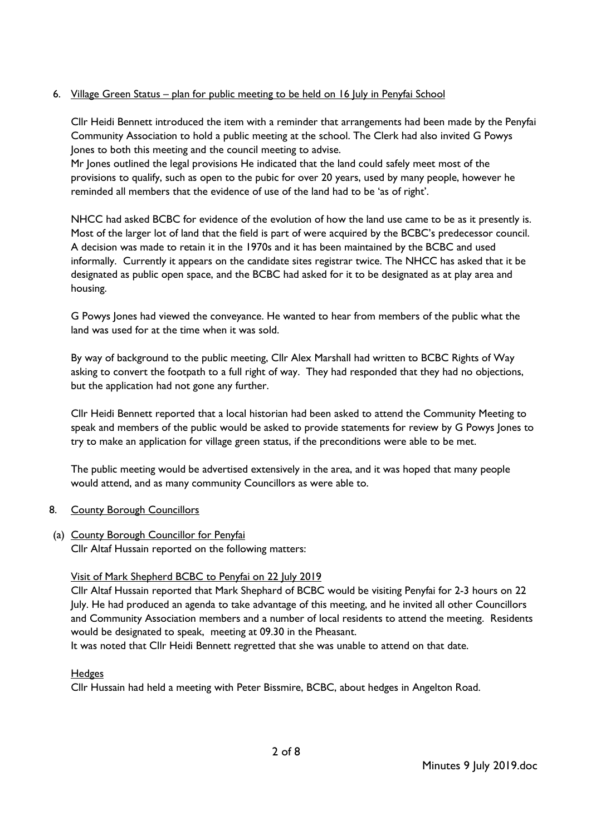# 6. <u>Village Green Status – plan for public meeting to be held on 16 July in Penyfai School</u>

Cllr Heidi Bennett introduced the item with a reminder that arrangements had been made by the Penyfai Community Association to hold a public meeting at the school. The Clerk had also invited G Powys Jones to both this meeting and the council meeting to advise.

Mr Jones outlined the legal provisions He indicated that the land could safely meet most of the provisions to qualify, such as open to the pubic for over 20 years, used by many people, however he reminded all members that the evidence of use of the land had to be 'as of right'.

NHCC had asked BCBC for evidence of the evolution of how the land use came to be as it presently is. Most of the larger lot of land that the field is part of were acquired by the BCBC's predecessor council. A decision was made to retain it in the 1970s and it has been maintained by the BCBC and used informally. Currently it appears on the candidate sites registrar twice. The NHCC has asked that it be designated as public open space, and the BCBC had asked for it to be designated as at play area and housing.

G Powys Jones had viewed the conveyance. He wanted to hear from members of the public what the land was used for at the time when it was sold.

By way of background to the public meeting, Cllr Alex Marshall had written to BCBC Rights of Way asking to convert the footpath to a full right of way. They had responded that they had no objections, but the application had not gone any further.

Cllr Heidi Bennett reported that a local historian had been asked to attend the Community Meeting to speak and members of the public would be asked to provide statements for review by G Powys Jones to try to make an application for village green status, if the preconditions were able to be met.

The public meeting would be advertised extensively in the area, and it was hoped that many people would attend, and as many community Councillors as were able to.

- 8. County Borough Councillors
- (a) County Borough Councillor for Penyfai Cllr Altaf Hussain reported on the following matters:

# Visit of Mark Shepherd BCBC to Penyfai on 22 July 2019

Cllr Altaf Hussain reported that Mark Shephard of BCBC would be visiting Penyfai for 2-3 hours on 22 July. He had produced an agenda to take advantage of this meeting, and he invited all other Councillors and Community Association members and a number of local residents to attend the meeting. Residents would be designated to speak, meeting at 09.30 in the Pheasant.

It was noted that Cllr Heidi Bennett regretted that she was unable to attend on that date.

# Hedges

Cllr Hussain had held a meeting with Peter Bissmire, BCBC, about hedges in Angelton Road.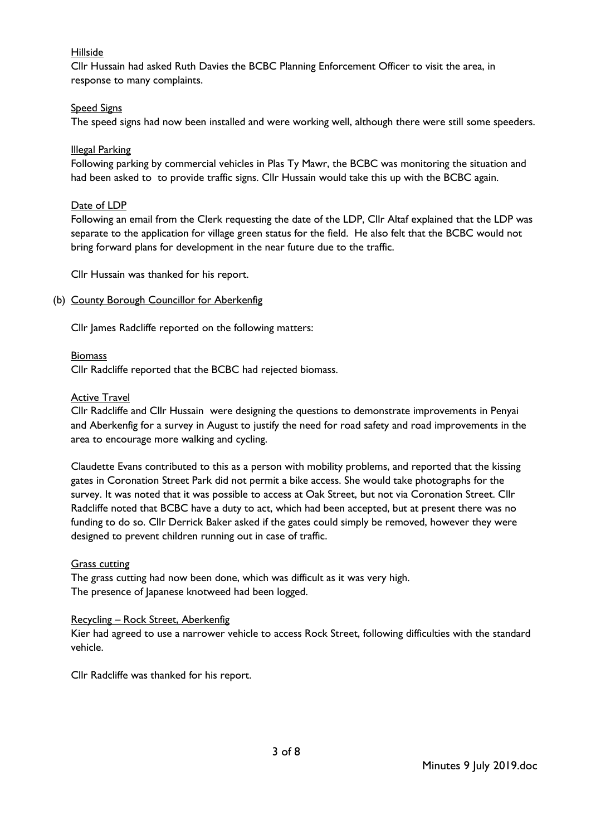## Hillside

Cllr Hussain had asked Ruth Davies the BCBC Planning Enforcement Officer to visit the area, in response to many complaints.

### Speed Signs

The speed signs had now been installed and were working well, although there were still some speeders.

### Illegal Parking

Following parking by commercial vehicles in Plas Ty Mawr, the BCBC was monitoring the situation and had been asked to to provide traffic signs. Cllr Hussain would take this up with the BCBC again.

#### Date of LDP

Following an email from the Clerk requesting the date of the LDP, Cllr Altaf explained that the LDP was separate to the application for village green status for the field. He also felt that the BCBC would not bring forward plans for development in the near future due to the traffic.

Cllr Hussain was thanked for his report.

#### (b) County Borough Councillor for Aberkenfig

Cllr James Radcliffe reported on the following matters:

### **Biomass**

Cllr Radcliffe reported that the BCBC had rejected biomass.

#### Active Travel

Cllr Radcliffe and Cllr Hussain were designing the questions to demonstrate improvements in Penyai and Aberkenfig for a survey in August to justify the need for road safety and road improvements in the area to encourage more walking and cycling.

Claudette Evans contributed to this as a person with mobility problems, and reported that the kissing gates in Coronation Street Park did not permit a bike access. She would take photographs for the survey. It was noted that it was possible to access at Oak Street, but not via Coronation Street. Cllr Radcliffe noted that BCBC have a duty to act, which had been accepted, but at present there was no funding to do so. Cllr Derrick Baker asked if the gates could simply be removed, however they were designed to prevent children running out in case of traffic.

### Grass cutting

The grass cutting had now been done, which was difficult as it was very high. The presence of Japanese knotweed had been logged.

#### Recycling – Rock Street, Aberkenfig

Kier had agreed to use a narrower vehicle to access Rock Street, following difficulties with the standard vehicle.

Cllr Radcliffe was thanked for his report.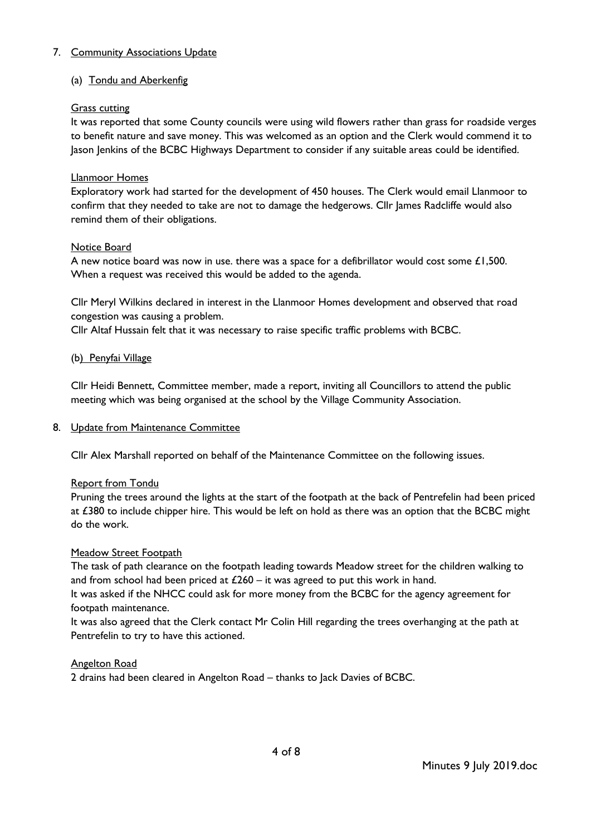## 7. Community Associations Update

## (a) Tondu and Aberkenfig

## Grass cutting

It was reported that some County councils were using wild flowers rather than grass for roadside verges to benefit nature and save money. This was welcomed as an option and the Clerk would commend it to Jason Jenkins of the BCBC Highways Department to consider if any suitable areas could be identified.

## Llanmoor Homes

Exploratory work had started for the development of 450 houses. The Clerk would email Llanmoor to confirm that they needed to take are not to damage the hedgerows. Cllr James Radcliffe would also remind them of their obligations.

### Notice Board

A new notice board was now in use. there was a space for a defibrillator would cost some  $£1,500.$ When a request was received this would be added to the agenda.

Cllr Meryl Wilkins declared in interest in the Llanmoor Homes development and observed that road congestion was causing a problem.

Cllr Altaf Hussain felt that it was necessary to raise specific traffic problems with BCBC.

### (b) Penyfai Village

Cllr Heidi Bennett, Committee member, made a report, inviting all Councillors to attend the public meeting which was being organised at the school by the Village Community Association.

### 8. Update from Maintenance Committee

Cllr Alex Marshall reported on behalf of the Maintenance Committee on the following issues.

### Report from Tondu

Pruning the trees around the lights at the start of the footpath at the back of Pentrefelin had been priced at £380 to include chipper hire. This would be left on hold as there was an option that the BCBC might do the work.

### Meadow Street Footpath

The task of path clearance on the footpath leading towards Meadow street for the children walking to and from school had been priced at  $£260 - it$  was agreed to put this work in hand.

It was asked if the NHCC could ask for more money from the BCBC for the agency agreement for footpath maintenance.

It was also agreed that the Clerk contact Mr Colin Hill regarding the trees overhanging at the path at Pentrefelin to try to have this actioned.

### Angelton Road

2 drains had been cleared in Angelton Road – thanks to Jack Davies of BCBC.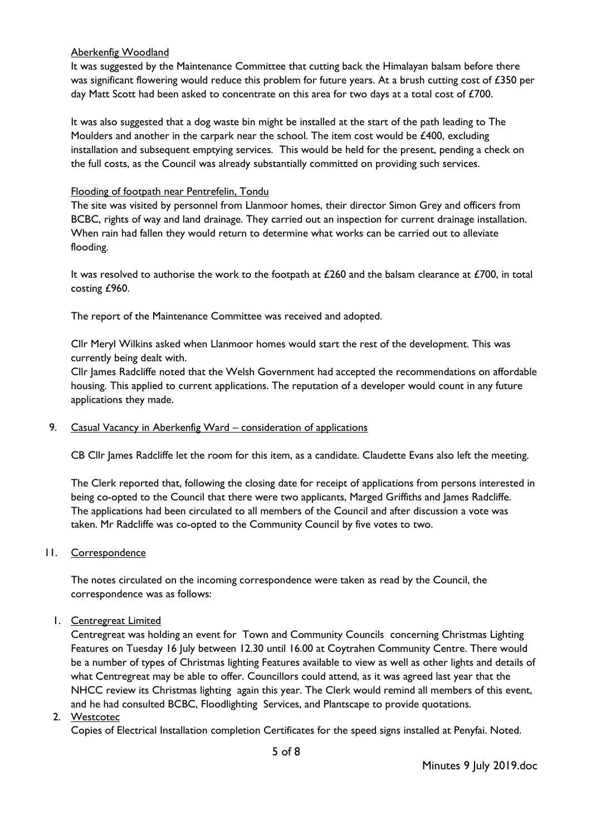### Aberkenfig Woodland

It was suggested by the Maintenance Committee that cutting back the Himalayan balsam before there was significant flowering would reduce this problem for future years. At a brush cutting cost of £350 per day Matt Scott had been asked to concentrate on this area for two days at a total cost of £700.

It was also suggested that a dog waste bin might be installed at the start of the path leading to The Moulders and another in the carpark near the school. The item cost would be £400, excluding installation and subsequent emptying services. This would be held for the present, pending a check on the full costs, as the Council was already substantially committed on providing such services.

#### Flooding of footpath near Pentrefelin, Tondu

The site was visited by personnel from Llanmoor homes, their director Simon Grey and officers from BCBC, rights of way and land drainage. They carried out an inspection for current drainage installation. When rain had fallen they would return to determine what works can be carried out to alleviate flooding.

It was resolved to authorise the work to the footpath at  $£260$  and the balsam clearance at  $£700$ , in total costing £960.

The report of the Maintenance Committee was received and adopted.

Cllr Meryl Wilkins asked when Llanmoor homes would start the rest of the development. This was currently being dealt with.

Cllr James Radcliffe noted that the Welsh Government had accepted the recommendations on affordable housing. This applied to current applications. The reputation of a developer would count in any future applications they made.

#### 9. Casual Vacancy in Aberkenfig Ward – consideration of applications

CB Cllr James Radcliffe let the room for this item, as a candidate. Claudette Evans also left the meeting.

The Clerk reported that, following the closing date for receipt of applications from persons interested in being co-opted to the Council that there were two applicants, Marged Griffiths and James Radcliffe. The applications had been circulated to all members of the Council and after discussion a vote was taken. Mr Radcliffe was co-opted to the Community Council by five votes to two.

11. Correspondence

The notes circulated on the incoming correspondence were taken as read by the Council, the correspondence was as follows:

1. Centregreat Limited

Centregreat was holding an event for Town and Community Councils concerning Christmas Lighting Features on Tuesday 16 July between 12.30 until 16.00 at Coytrahen Community Centre. There would be a number of types of Christmas lighting Features available to view as well as other lights and details of what Centregreat may be able to offer. Councillors could attend, as it was agreed last year that the NHCC review its Christmas lighting again this year. The Clerk would remind all members of this event, and he had consulted BCBC, Floodlighting Services, and Plantscape to provide quotations.

2. Westcotec

Copies of Electrical Installation completion Certificates for the speed signs installed at Penyfai. Noted.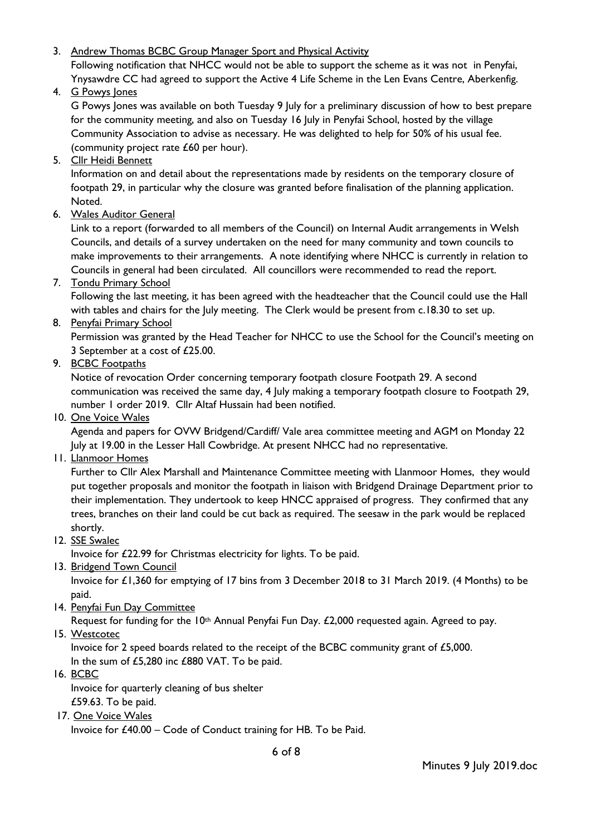3. Andrew Thomas BCBC Group Manager Sport and Physical Activity

Following notification that NHCC would not be able to support the scheme as it was not in Penyfai, Ynysawdre CC had agreed to support the Active 4 Life Scheme in the Len Evans Centre, Aberkenfig.

4. G Powys Jones

G Powys Jones was available on both Tuesday 9 July for a preliminary discussion of how to best prepare for the community meeting, and also on Tuesday 16 July in Penyfai School, hosted by the village Community Association to advise as necessary. He was delighted to help for 50% of his usual fee. (community project rate £60 per hour).

5. Cllr Heidi Bennett

Information on and detail about the representations made by residents on the temporary closure of footpath 29, in particular why the closure was granted before finalisation of the planning application. Noted.

6. Wales Auditor General

Link to a report (forwarded to all members of the Council) on Internal Audit arrangements in Welsh Councils, and details of a survey undertaken on the need for many community and town councils to make improvements to their arrangements. A note identifying where NHCC is currently in relation to Councils in general had been circulated. All councillors were recommended to read the report.

7. Tondu Primary School

Following the last meeting, it has been agreed with the headteacher that the Council could use the Hall with tables and chairs for the July meeting. The Clerk would be present from c.18.30 to set up.

8. Penyfai Primary School

Permission was granted by the Head Teacher for NHCC to use the School for the Council's meeting on 3 September at a cost of £25.00.

9. BCBC Footpaths

Notice of revocation Order concerning temporary footpath closure Footpath 29. A second communication was received the same day, 4 July making a temporary footpath closure to Footpath 29, number 1 order 2019. Cllr Altaf Hussain had been notified.

10. One Voice Wales

Agenda and papers for OVW Bridgend/Cardiff/ Vale area committee meeting and AGM on Monday 22 July at 19.00 in the Lesser Hall Cowbridge. At present NHCC had no representative.

11. Llanmoor Homes

Further to Cllr Alex Marshall and Maintenance Committee meeting with Llanmoor Homes, they would put together proposals and monitor the footpath in liaison with Bridgend Drainage Department prior to their implementation. They undertook to keep HNCC appraised of progress. They confirmed that any trees, branches on their land could be cut back as required. The seesaw in the park would be replaced shortly.

12. SSE Swalec

Invoice for £22.99 for Christmas electricity for lights. To be paid.

13. Bridgend Town Council

Invoice for £1,360 for emptying of 17 bins from 3 December 2018 to 31 March 2019. (4 Months) to be paid.

14. Penyfai Fun Day Committee

Request for funding for the 10<sup>th</sup> Annual Penyfai Fun Day. £2,000 requested again. Agreed to pay.

15. Westcotec

Invoice for 2 speed boards related to the receipt of the BCBC community grant of £5,000. In the sum of £5,280 inc £880 VAT. To be paid.

16. BCBC

Invoice for quarterly cleaning of bus shelter £59.63. To be paid.

17. One Voice Wales

Invoice for £40.00 – Code of Conduct training for HB. To be Paid.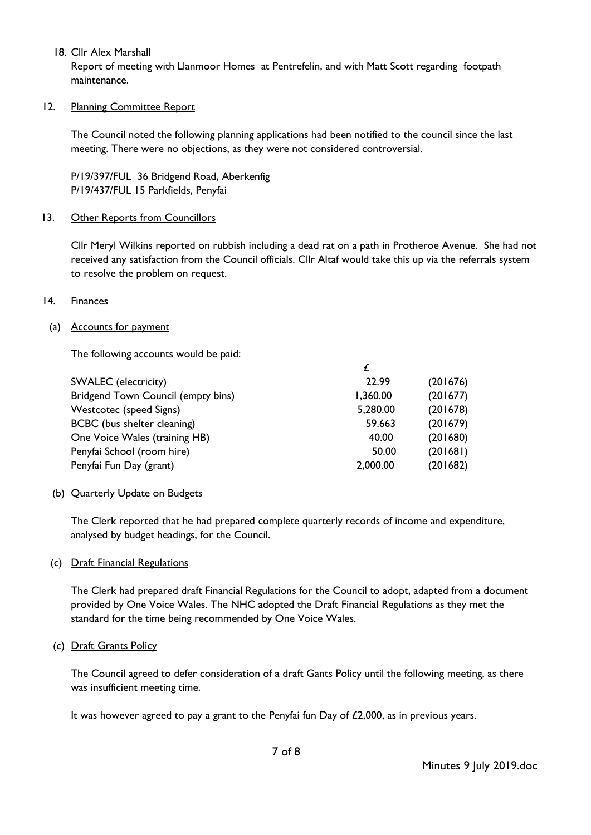## 18. Cllr Alex Marshall

Report of meeting with Llanmoor Homes at Pentrefelin, and with Matt Scott regarding footpath maintenance.

### 12. Planning Committee Report

The Council noted the following planning applications had been notified to the council since the last meeting. There were no objections, as they were not considered controversial.

P/19/397/FUL 36 Bridgend Road, Aberkenfig P/19/437/FUL 15 Parkfields, Penyfai

# 13. Other Reports from Councillors

Cllr Meryl Wilkins reported on rubbish including a dead rat on a path in Protheroe Avenue. She had not received any satisfaction from the Council officials. Cllr Altaf would take this up via the referrals system to resolve the problem on request.

# 14. Finances

### (a) Accounts for payment

The following accounts would be paid:

| <b>SWALEC</b> (electricity)        | 22.99    | (201676) |
|------------------------------------|----------|----------|
| Bridgend Town Council (empty bins) | 1,360.00 | (201677) |
| Westcotec (speed Signs)            | 5,280.00 | (201678) |
| BCBC (bus shelter cleaning)        | 59.663   | (201679) |
| One Voice Wales (training HB)      | 40.00    | (201680) |
| Penyfai School (room hire)         | 50.00    | (201681) |
| Penyfai Fun Day (grant)            | 2,000.00 | (201682) |

### (b) Quarterly Update on Budgets

The Clerk reported that he had prepared complete quarterly records of income and expenditure, analysed by budget headings, for the Council.

### (c) Draft Financial Regulations

The Clerk had prepared draft Financial Regulations for the Council to adopt, adapted from a document provided by One Voice Wales. The NHC adopted the Draft Financial Regulations as they met the standard for the time being recommended by One Voice Wales.

### (c) Draft Grants Policy

The Council agreed to defer consideration of a draft Gants Policy until the following meeting, as there was insufficient meeting time.

It was however agreed to pay a grant to the Penyfai fun Day of  $£2,000$ , as in previous years.